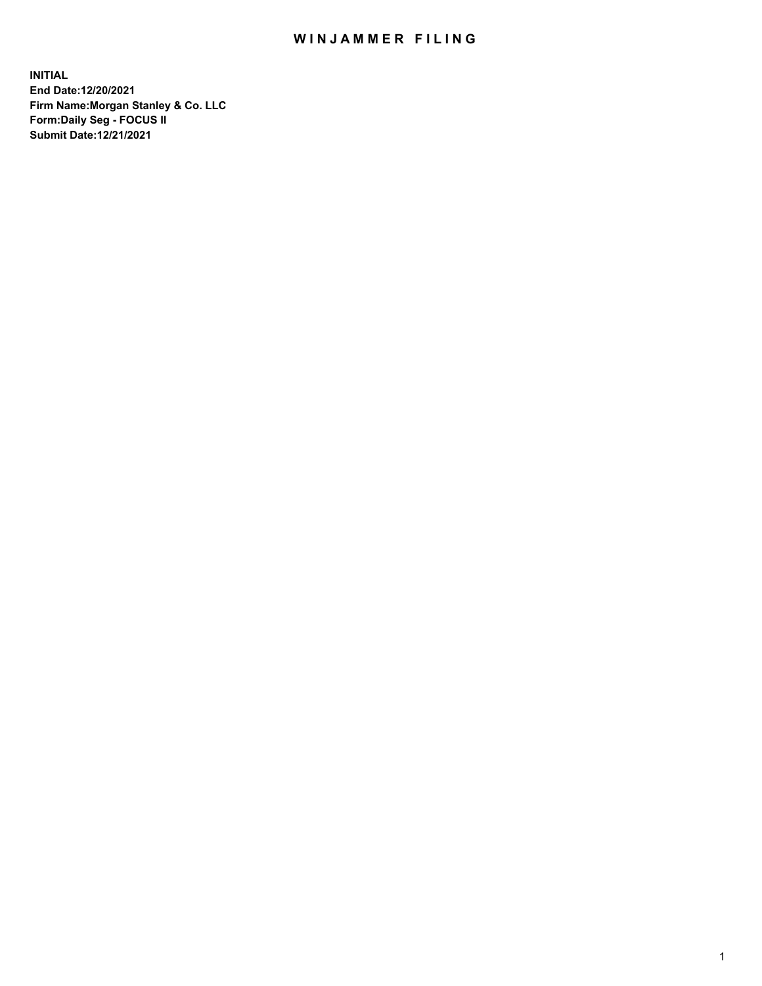## WIN JAMMER FILING

**INITIAL End Date:12/20/2021 Firm Name:Morgan Stanley & Co. LLC Form:Daily Seg - FOCUS II Submit Date:12/21/2021**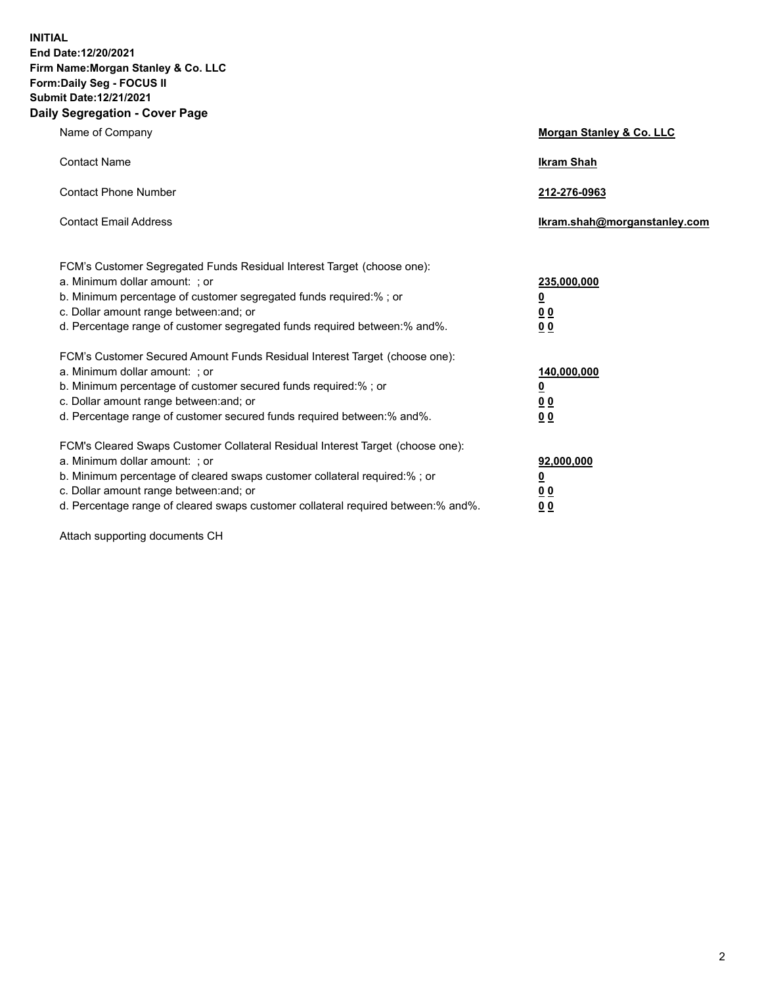**INITIAL End Date:12/20/2021 Firm Name:Morgan Stanley & Co. LLC Form:Daily Seg - FOCUS II Submit Date:12/21/2021 Daily Segregation - Cover Page**

| Name of Company                                                                                                                                                                                                                                                                                                                | Morgan Stanley & Co. LLC                                |
|--------------------------------------------------------------------------------------------------------------------------------------------------------------------------------------------------------------------------------------------------------------------------------------------------------------------------------|---------------------------------------------------------|
| <b>Contact Name</b>                                                                                                                                                                                                                                                                                                            | <b>Ikram Shah</b>                                       |
| <b>Contact Phone Number</b>                                                                                                                                                                                                                                                                                                    | 212-276-0963                                            |
| <b>Contact Email Address</b>                                                                                                                                                                                                                                                                                                   | Ikram.shah@morganstanley.com                            |
| FCM's Customer Segregated Funds Residual Interest Target (choose one):<br>a. Minimum dollar amount: ; or<br>b. Minimum percentage of customer segregated funds required:%; or<br>c. Dollar amount range between: and; or<br>d. Percentage range of customer segregated funds required between: % and %.                        | 235,000,000<br><u>0</u><br>00<br>0 Q                    |
| FCM's Customer Secured Amount Funds Residual Interest Target (choose one):<br>a. Minimum dollar amount: ; or<br>b. Minimum percentage of customer secured funds required:%; or<br>c. Dollar amount range between: and; or<br>d. Percentage range of customer secured funds required between:% and%.                            | 140,000,000<br><u>0</u><br><u>0 0</u><br>0 <sub>0</sub> |
| FCM's Cleared Swaps Customer Collateral Residual Interest Target (choose one):<br>a. Minimum dollar amount: ; or<br>b. Minimum percentage of cleared swaps customer collateral required:% ; or<br>c. Dollar amount range between: and; or<br>d. Percentage range of cleared swaps customer collateral required between:% and%. | 92,000,000<br><u>0</u><br><u>00</u><br>00               |

Attach supporting documents CH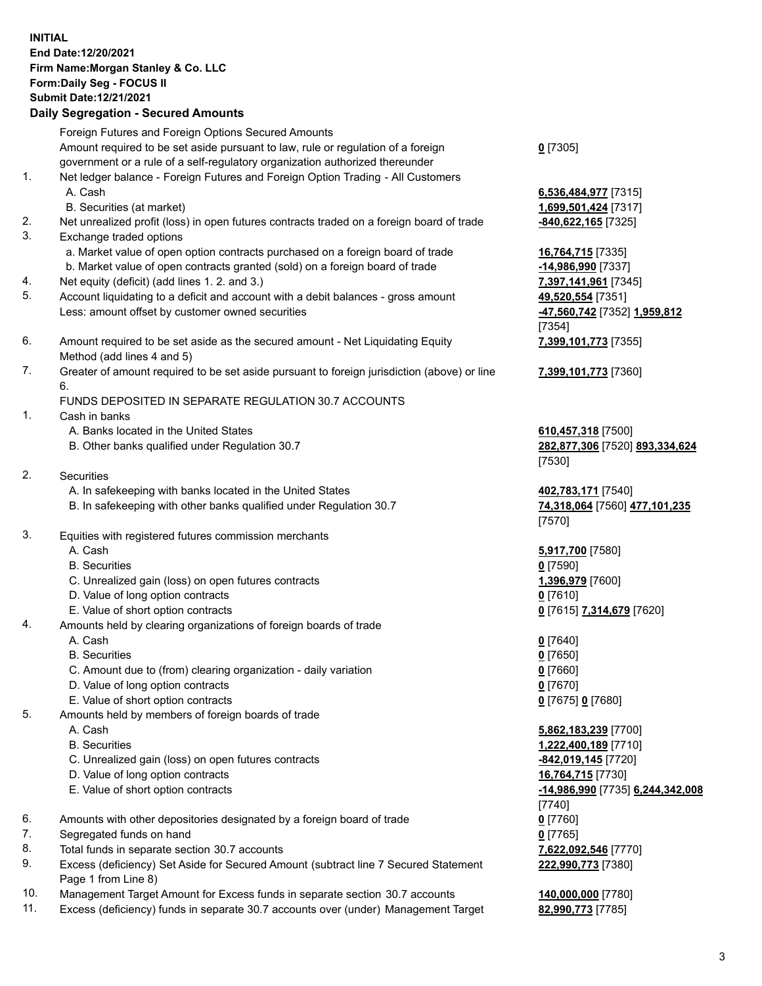## **INITIAL End Date:12/20/2021 Firm Name:Morgan Stanley & Co. LLC Form:Daily Seg - FOCUS II Submit Date:12/21/2021**

## **Daily Segregation - Secured Amounts**

Foreign Futures and Foreign Options Secured Amounts Amount required to be set aside pursuant to law, rule or regulation of a foreign government or a rule of a self-regulatory organization authorized thereunder 1. Net ledger balance - Foreign Futures and Foreign Option Trading - All Customers A. Cash **6,536,484,977** [7315] B. Securities (at market) **1,699,501,424** [7317] 2. Net unrealized profit (loss) in open futures contracts traded on a foreign board of trade **-840,622,165** [7325] 3. Exchange traded options a. Market value of open option contracts purchased on a foreign board of trade **16,764,715** [7335] b. Market value of open contracts granted (sold) on a foreign board of trade **-14,986,990** [7337] 4. Net equity (deficit) (add lines 1. 2. and 3.) **7,397,141,961** [7345] 5. Account liquidating to a deficit and account with a debit balances - gross amount **49,520,554** [7351] Less: amount offset by customer owned securities **-47,560,742** [7352] **1,959,812** 6. Amount required to be set aside as the secured amount - Net Liquidating Equity Method (add lines 4 and 5) 7. Greater of amount required to be set aside pursuant to foreign jurisdiction (above) or line 6. FUNDS DEPOSITED IN SEPARATE REGULATION 30.7 ACCOUNTS 1. Cash in banks A. Banks located in the United States **610,457,318** [7500] B. Other banks qualified under Regulation 30.7 **282,877,306** [7520] **893,334,624**

- 2. Securities
	- A. In safekeeping with banks located in the United States **402,783,171** [7540]
	- B. In safekeeping with other banks qualified under Regulation 30.7 **74,318,064** [7560] **477,101,235**
- 3. Equities with registered futures commission merchants
	-
	- B. Securities **0** [7590]
	- C. Unrealized gain (loss) on open futures contracts **1,396,979** [7600]
	- D. Value of long option contracts **0** [7610]
	- E. Value of short option contracts **0** [7615] **7,314,679** [7620]
- 4. Amounts held by clearing organizations of foreign boards of trade
	-
	- B. Securities **0** [7650]
	- C. Amount due to (from) clearing organization daily variation **0** [7660]
	- D. Value of long option contracts **0** [7670]
	- E. Value of short option contracts **0** [7675] **0** [7680]
- 5. Amounts held by members of foreign boards of trade
	-
	-
	- C. Unrealized gain (loss) on open futures contracts **-842,019,145** [7720]
	- D. Value of long option contracts **16,764,715** [7730]
	-
- 6. Amounts with other depositories designated by a foreign board of trade **0** [7760]
- 7. Segregated funds on hand **0** [7765]
- 8. Total funds in separate section 30.7 accounts **7,622,092,546** [7770]
- 9. Excess (deficiency) Set Aside for Secured Amount (subtract line 7 Secured Statement Page 1 from Line 8)
- 10. Management Target Amount for Excess funds in separate section 30.7 accounts **140,000,000** [7780]
- 11. Excess (deficiency) funds in separate 30.7 accounts over (under) Management Target **82,990,773** [7785]

**0** [7305]

[7354] **7,399,101,773** [7355]

**7,399,101,773** [7360]

[7530]

[7570]

A. Cash **5,917,700** [7580]

A. Cash **0** [7640]

 A. Cash **5,862,183,239** [7700] B. Securities **1,222,400,189** [7710] E. Value of short option contracts **-14,986,990** [7735] **6,244,342,008** [7740] **222,990,773** [7380]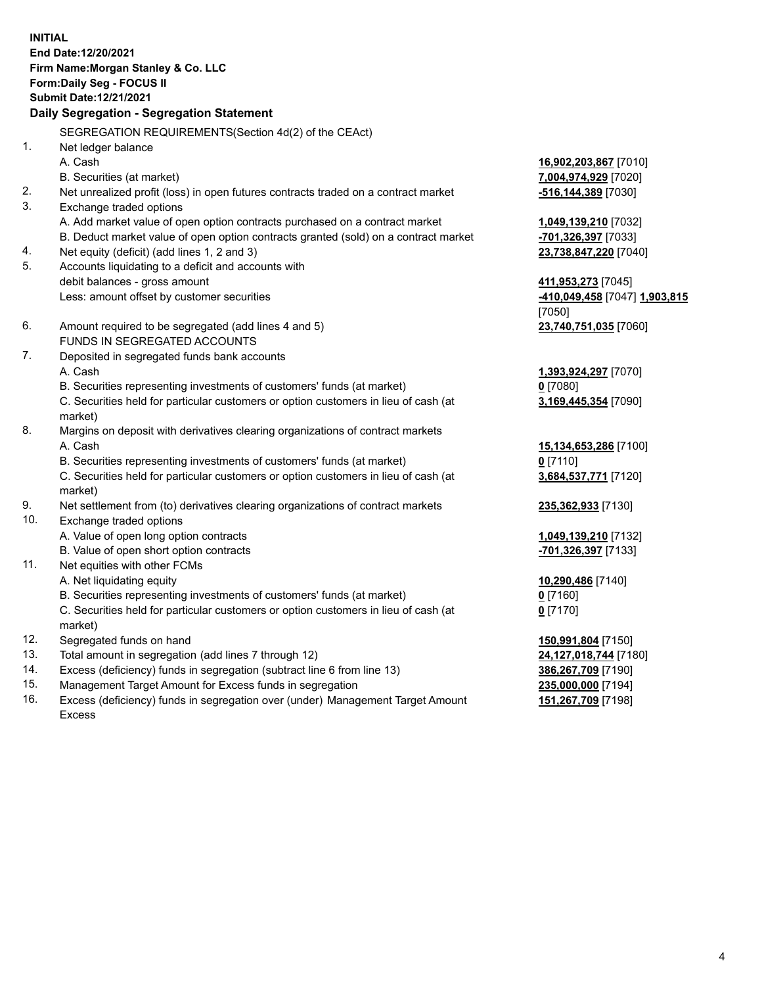**INITIAL End Date:12/20/2021 Firm Name:Morgan Stanley & Co. LLC Form:Daily Seg - FOCUS II Submit Date:12/21/2021 Daily Segregation - Segregation Statement** SEGREGATION REQUIREMENTS(Section 4d(2) of the CEAct) 1. Net ledger balance A. Cash **16,902,203,867** [7010] B. Securities (at market) **7,004,974,929** [7020] 2. Net unrealized profit (loss) in open futures contracts traded on a contract market **-516,144,389** [7030] 3. Exchange traded options A. Add market value of open option contracts purchased on a contract market **1,049,139,210** [7032] B. Deduct market value of open option contracts granted (sold) on a contract market **-701,326,397** [7033] 4. Net equity (deficit) (add lines 1, 2 and 3) **23,738,847,220** [7040] 5. Accounts liquidating to a deficit and accounts with debit balances - gross amount **411,953,273** [7045] Less: amount offset by customer securities **-410,049,458** [7047] **1,903,815** [7050] 6. Amount required to be segregated (add lines 4 and 5) **23,740,751,035** [7060] FUNDS IN SEGREGATED ACCOUNTS 7. Deposited in segregated funds bank accounts A. Cash **1,393,924,297** [7070] B. Securities representing investments of customers' funds (at market) **0** [7080] C. Securities held for particular customers or option customers in lieu of cash (at market) **3,169,445,354** [7090] 8. Margins on deposit with derivatives clearing organizations of contract markets A. Cash **15,134,653,286** [7100] B. Securities representing investments of customers' funds (at market) **0** [7110] C. Securities held for particular customers or option customers in lieu of cash (at market) **3,684,537,771** [7120] 9. Net settlement from (to) derivatives clearing organizations of contract markets **235,362,933** [7130] 10. Exchange traded options A. Value of open long option contracts **1,049,139,210** [7132] B. Value of open short option contracts **-701,326,397** [7133] 11. Net equities with other FCMs A. Net liquidating equity **10,290,486** [7140] B. Securities representing investments of customers' funds (at market) **0** [7160] C. Securities held for particular customers or option customers in lieu of cash (at market) **0** [7170] 12. Segregated funds on hand **150,991,804** [7150] 13. Total amount in segregation (add lines 7 through 12) **24,127,018,744** [7180] 14. Excess (deficiency) funds in segregation (subtract line 6 from line 13) **386,267,709** [7190]

- 15. Management Target Amount for Excess funds in segregation **235,000,000** [7194]
- 16. Excess (deficiency) funds in segregation over (under) Management Target Amount Excess

**151,267,709** [7198]